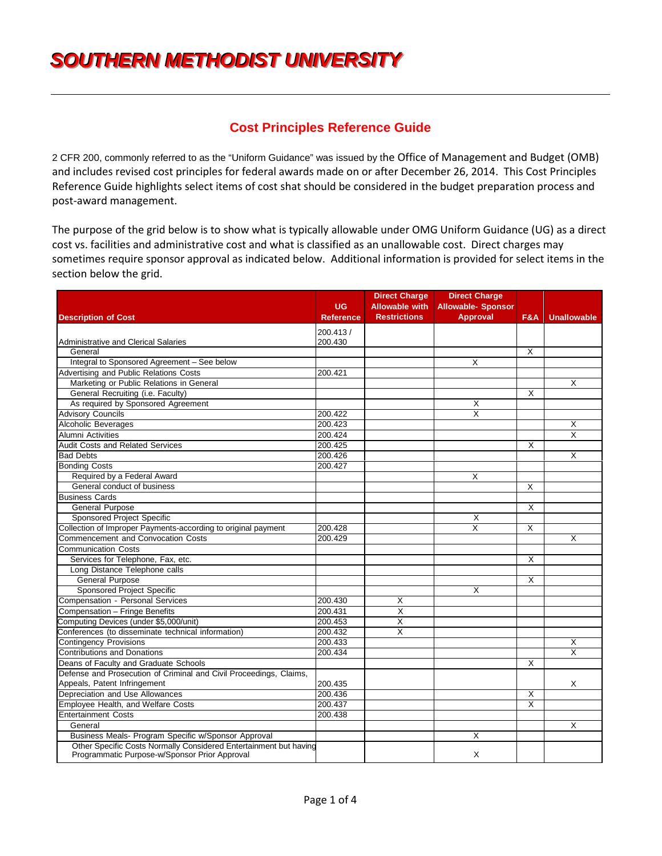# **SOUTHERN METHODIST UNIVERSITY**

# **Cost Principles Reference Guide**

2 CFR 200, commonly referred to as the "Uniform Guidance" was issued by the Office of Management and Budget (OMB) and includes revised cost principles for federal awards made on or after December 26, 2014. This Cost Principles Reference Guide highlights select items of cost shat should be considered in the budget preparation process and post-award management.

The purpose of the grid below is to show what is typically allowable under OMG Uniform Guidance (UG) as a direct cost vs. facilities and administrative cost and what is classified as an unallowable cost. Direct charges may sometimes require sponsor approval as indicated below. Additional information is provided for select items in the section below the grid.

|                                                                                                                    | <b>UG</b>        | <b>Direct Charge</b><br><b>Allowable with</b> | <b>Direct Charge</b><br><b>Allowable- Sponsor</b> |                |                         |
|--------------------------------------------------------------------------------------------------------------------|------------------|-----------------------------------------------|---------------------------------------------------|----------------|-------------------------|
| <b>Description of Cost</b>                                                                                         | <b>Reference</b> | <b>Restrictions</b>                           | <b>Approval</b>                                   | <b>F&amp;A</b> | <b>Unallowable</b>      |
|                                                                                                                    | 200.413/         |                                               |                                                   |                |                         |
| Administrative and Clerical Salaries                                                                               | 200.430          |                                               |                                                   |                |                         |
| General                                                                                                            |                  |                                               |                                                   | $\times$       |                         |
| Integral to Sponsored Agreement - See below                                                                        |                  |                                               | X                                                 |                |                         |
| Advertising and Public Relations Costs                                                                             | 200.421          |                                               |                                                   |                |                         |
| Marketing or Public Relations in General                                                                           |                  |                                               |                                                   |                | X                       |
| General Recruiting (i.e. Faculty)                                                                                  |                  |                                               |                                                   | X              |                         |
| As required by Sponsored Agreement                                                                                 |                  |                                               | X                                                 |                |                         |
| <b>Advisory Councils</b>                                                                                           | 200.422          |                                               | $\overline{\mathsf{x}}$                           |                |                         |
| Alcoholic Beverages                                                                                                | 200.423          |                                               |                                                   |                | X                       |
| Alumni Activities                                                                                                  | 200.424          |                                               |                                                   |                | $\overline{\mathsf{x}}$ |
| <b>Audit Costs and Related Services</b>                                                                            | 200.425          |                                               |                                                   | X              |                         |
| <b>Bad Debts</b>                                                                                                   | 200.426          |                                               |                                                   |                | $\overline{\mathsf{x}}$ |
| <b>Bonding Costs</b>                                                                                               | 200.427          |                                               |                                                   |                |                         |
| Required by a Federal Award                                                                                        |                  |                                               | X                                                 |                |                         |
| General conduct of business                                                                                        |                  |                                               |                                                   | X              |                         |
| <b>Business Cards</b>                                                                                              |                  |                                               |                                                   |                |                         |
| <b>General Purpose</b>                                                                                             |                  |                                               |                                                   | X              |                         |
| <b>Sponsored Project Specific</b>                                                                                  |                  |                                               | X                                                 |                |                         |
| Collection of Improper Payments-according to original payment                                                      | 200.428          |                                               | $\overline{\mathsf{x}}$                           | X              |                         |
| Commencement and Convocation Costs                                                                                 | 200.429          |                                               |                                                   |                | X                       |
| <b>Communication Costs</b>                                                                                         |                  |                                               |                                                   |                |                         |
| Services for Telephone, Fax, etc.                                                                                  |                  |                                               |                                                   | X              |                         |
| Long Distance Telephone calls                                                                                      |                  |                                               |                                                   |                |                         |
| <b>General Purpose</b>                                                                                             |                  |                                               |                                                   | X              |                         |
| Sponsored Project Specific                                                                                         |                  |                                               | X                                                 |                |                         |
| Compensation - Personal Services                                                                                   | 200.430          | Χ                                             |                                                   |                |                         |
| Compensation - Fringe Benefits                                                                                     | 200.431          | $\overline{\mathsf{x}}$                       |                                                   |                |                         |
| Computing Devices (under \$5,000/unit)                                                                             | 200.453          | $\overline{\mathsf{x}}$                       |                                                   |                |                         |
| Conferences (to disseminate technical information)                                                                 | 200.432          | X                                             |                                                   |                |                         |
| <b>Contingency Provisions</b>                                                                                      | 200.433          |                                               |                                                   |                | $\overline{\mathsf{x}}$ |
| <b>Contributions and Donations</b>                                                                                 | 200.434          |                                               |                                                   |                | $\overline{\mathsf{x}}$ |
| Deans of Faculty and Graduate Schools                                                                              |                  |                                               |                                                   | X              |                         |
| Defense and Prosecution of Criminal and Civil Proceedings, Claims,                                                 |                  |                                               |                                                   |                |                         |
| Appeals, Patent Infringement                                                                                       | 200.435          |                                               |                                                   |                | X                       |
| Depreciation and Use Allowances                                                                                    | 200.436          |                                               |                                                   | X              |                         |
| Employee Health, and Welfare Costs                                                                                 | 200.437          |                                               |                                                   | X              |                         |
| <b>Entertainment Costs</b>                                                                                         | 200.438          |                                               |                                                   |                |                         |
| General                                                                                                            |                  |                                               |                                                   |                | X                       |
| Business Meals- Program Specific w/Sponsor Approval                                                                |                  |                                               | X                                                 |                |                         |
| Other Specific Costs Normally Considered Entertainment but having<br>Programmatic Purpose-w/Sponsor Prior Approval |                  |                                               | X                                                 |                |                         |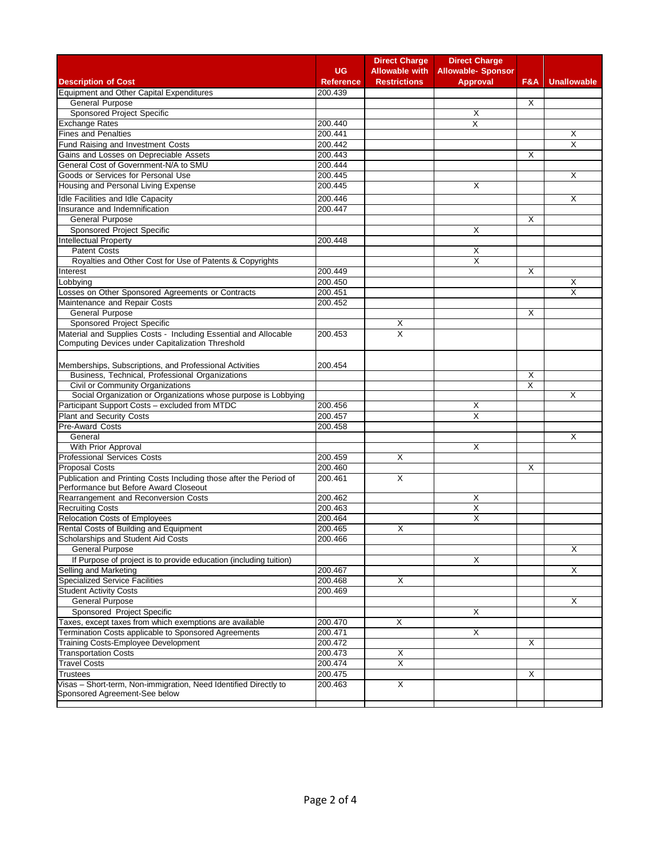|                                                                                                             |                  | <b>Direct Charge</b>    | <b>Direct Charge</b>      |     |                         |
|-------------------------------------------------------------------------------------------------------------|------------------|-------------------------|---------------------------|-----|-------------------------|
|                                                                                                             | UG               | <b>Allowable with</b>   | <b>Allowable- Sponsor</b> |     |                         |
| <b>Description of Cost</b>                                                                                  | <b>Reference</b> | <b>Restrictions</b>     | <b>Approval</b>           | F&A | <b>Unallowable</b>      |
| <b>Equipment and Other Capital Expenditures</b>                                                             | 200.439          |                         |                           |     |                         |
| <b>General Purpose</b>                                                                                      |                  |                         |                           | X   |                         |
| Sponsored Project Specific                                                                                  |                  |                         | Х                         |     |                         |
| <b>Exchange Rates</b>                                                                                       | 200.440          |                         | X                         |     |                         |
| <b>Fines and Penalties</b>                                                                                  | 200.441          |                         |                           |     | Х                       |
| Fund Raising and Investment Costs                                                                           | 200.442          |                         |                           |     | X                       |
| Gains and Losses on Depreciable Assets                                                                      | 200.443          |                         |                           | X   |                         |
| General Cost of Government-N/A to SMU                                                                       | 200.444          |                         |                           |     |                         |
| Goods or Services for Personal Use                                                                          | 200.445          |                         |                           |     | Х                       |
| Housing and Personal Living Expense                                                                         | 200.445          |                         | X                         |     |                         |
| Idle Facilities and Idle Capacity                                                                           | 200.446          |                         |                           |     | X                       |
| Insurance and Indemnification                                                                               | 200.447          |                         |                           |     |                         |
| General Purpose                                                                                             |                  |                         |                           | X   |                         |
| Sponsored Project Specific                                                                                  |                  |                         | X                         |     |                         |
| Intellectual Property                                                                                       | 200.448          |                         |                           |     |                         |
| <b>Patent Costs</b>                                                                                         |                  |                         | Χ                         |     |                         |
| Royalties and Other Cost for Use of Patents & Copyrights                                                    |                  |                         | X                         |     |                         |
| Interest                                                                                                    | 200.449          |                         |                           | X   |                         |
| Lobbying                                                                                                    | 200.450          |                         |                           |     | X                       |
|                                                                                                             | 200.451          |                         |                           |     | $\overline{\mathsf{x}}$ |
| Losses on Other Sponsored Agreements or Contracts                                                           |                  |                         |                           |     |                         |
| Maintenance and Repair Costs<br><b>General Purpose</b>                                                      | 200.452          |                         |                           |     |                         |
|                                                                                                             |                  |                         |                           | X   |                         |
| Sponsored Project Specific<br>Material and Supplies Costs - Including Essential and Allocable               |                  | х<br>X                  |                           |     |                         |
| Computing Devices under Capitalization Threshold                                                            | 200.453          |                         |                           |     |                         |
|                                                                                                             |                  |                         |                           |     |                         |
|                                                                                                             |                  |                         |                           |     |                         |
| Memberships, Subscriptions, and Professional Activities<br>Business, Technical, Professional Organizations  | 200.454          |                         |                           |     |                         |
|                                                                                                             |                  |                         |                           | X   |                         |
| Civil or Community Organizations<br>Social Organization or Organizations whose purpose is Lobbying          |                  |                         |                           | X   | X                       |
| Participant Support Costs - excluded from MTDC                                                              | 200.456          |                         | Х                         |     |                         |
| <b>Plant and Security Costs</b>                                                                             | 200.457          |                         | Χ                         |     |                         |
| <b>Pre-Award Costs</b>                                                                                      | 200.458          |                         |                           |     |                         |
| General                                                                                                     |                  |                         |                           |     | X                       |
| With Prior Approval                                                                                         |                  |                         | X                         |     |                         |
|                                                                                                             |                  |                         |                           |     |                         |
| <b>Professional Services Costs</b>                                                                          | 200.459          | X                       |                           |     |                         |
| <b>Proposal Costs</b>                                                                                       | 200.460          |                         |                           | X   |                         |
| Publication and Printing Costs Including those after the Period of<br>Performance but Before Award Closeout | 200.461          | X                       |                           |     |                         |
| Rearrangement and Reconversion Costs                                                                        | 200.462          |                         | Χ                         |     |                         |
| <b>Recruiting Costs</b>                                                                                     | 200.463          |                         | X                         |     |                         |
| Relocation Costs of Employees                                                                               | 200.464          |                         | Χ                         |     |                         |
| Rental Costs of Building and Equipment                                                                      | 200.465          | X                       |                           |     |                         |
| Scholarships and Student Aid Costs                                                                          | 200.466          |                         |                           |     |                         |
| <b>General Purpose</b>                                                                                      |                  |                         |                           |     | $\overline{\mathsf{x}}$ |
| If Purpose of project is to provide education (including tuition)                                           |                  |                         | X                         |     |                         |
| Selling and Marketing                                                                                       | 200.467          |                         |                           |     |                         |
| <b>Specialized Service Facilities</b>                                                                       |                  |                         |                           |     | Χ                       |
|                                                                                                             | 200.468          | х                       |                           |     |                         |
| <b>Student Activity Costs</b>                                                                               | 200.469          |                         |                           |     |                         |
| <b>General Purpose</b>                                                                                      |                  |                         |                           |     | X                       |
| Sponsored Project Specific                                                                                  |                  |                         | Χ                         |     |                         |
| Taxes, except taxes from which exemptions are available                                                     | 200.470          | X                       |                           |     |                         |
| Termination Costs applicable to Sponsored Agreements                                                        | 200.471          |                         | X                         |     |                         |
| Training Costs-Employee Development                                                                         | 200.472          |                         |                           | X   |                         |
| <b>Transportation Costs</b>                                                                                 | 200.473          | х                       |                           |     |                         |
| <b>Travel Costs</b>                                                                                         | 200.474          | Χ                       |                           |     |                         |
| <b>Trustees</b>                                                                                             | 200.475          |                         |                           | Χ   |                         |
| Visas - Short-term, Non-immigration, Need Identified Directly to                                            | 200.463          | $\overline{\mathsf{x}}$ |                           |     |                         |
| Sponsored Agreement-See below                                                                               |                  |                         |                           |     |                         |
|                                                                                                             |                  |                         |                           |     |                         |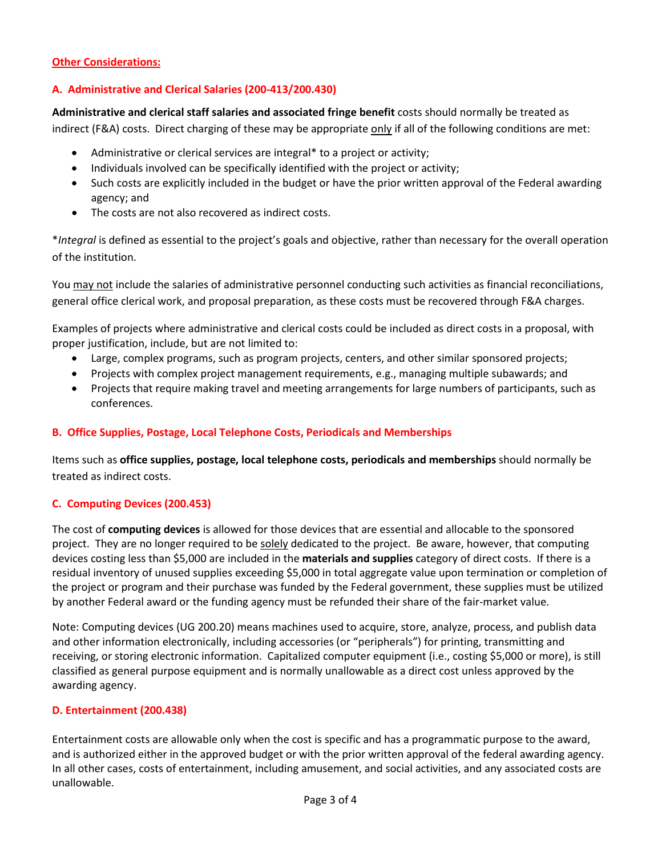# **Other Considerations:**

# **A. Administrative and Clerical Salaries (200-413/200.430)**

**Administrative and clerical staff salaries and associated fringe benefit** costs should normally be treated as indirect (F&A) costs. Direct charging of these may be appropriate only if all of the following conditions are met:

- Administrative or clerical services are integral\* to a project or activity;
- Individuals involved can be specifically identified with the project or activity;
- Such costs are explicitly included in the budget or have the prior written approval of the Federal awarding agency; and
- The costs are not also recovered as indirect costs.

\**Integral* is defined as essential to the project's goals and objective, rather than necessary for the overall operation of the institution.

You may not include the salaries of administrative personnel conducting such activities as financial reconciliations, general office clerical work, and proposal preparation, as these costs must be recovered through F&A charges.

Examples of projects where administrative and clerical costs could be included as direct costs in a proposal, with proper justification, include, but are not limited to:

- Large, complex programs, such as program projects, centers, and other similar sponsored projects;
- Projects with complex project management requirements, e.g., managing multiple subawards; and
- Projects that require making travel and meeting arrangements for large numbers of participants, such as conferences.

#### **B. Office Supplies, Postage, Local Telephone Costs, Periodicals and Memberships**

Items such as **office supplies, postage, local telephone costs, periodicals and memberships** should normally be treated as indirect costs.

#### **C. Computing Devices (200.453)**

The cost of **computing devices** is allowed for those devices that are essential and allocable to the sponsored project. They are no longer required to be solely dedicated to the project. Be aware, however, that computing devices costing less than \$5,000 are included in the **materials and supplies** category of direct costs. If there is a residual inventory of unused supplies exceeding \$5,000 in total aggregate value upon termination or completion of the project or program and their purchase was funded by the Federal government, these supplies must be utilized by another Federal award or the funding agency must be refunded their share of the fair-market value.

Note: Computing devices (UG 200.20) means machines used to acquire, store, analyze, process, and publish data and other information electronically, including accessories (or "peripherals") for printing, transmitting and receiving, or storing electronic information. Capitalized computer equipment (i.e., costing \$5,000 or more), is still classified as general purpose equipment and is normally unallowable as a direct cost unless approved by the awarding agency.

#### **D. Entertainment (200.438)**

Entertainment costs are allowable only when the cost is specific and has a programmatic purpose to the award, and is authorized either in the approved budget or with the prior written approval of the federal awarding agency. In all other cases, costs of entertainment, including amusement, and social activities, and any associated costs are unallowable.